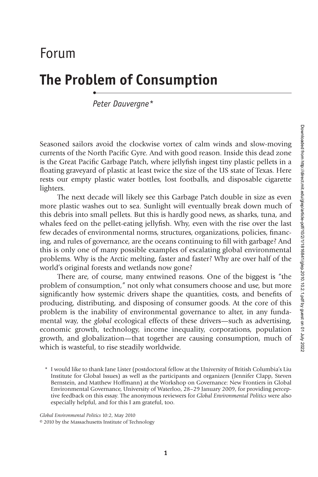# Forum

# **The Problem of Consumption**

*Peter Dauvergne\**

•

Seasoned sailors avoid the clockwise vortex of calm winds and slow-moving currents of the North Pacific Gyre. And with good reason. Inside this dead zone is the Great Pacific Garbage Patch, where jellyfish ingest tiny plastic pellets in a floating graveyard of plastic at least twice the size of the US state of Texas. Here rests our empty plastic water bottles, lost footballs, and disposable cigarette lighters.

The next decade will likely see this Garbage Patch double in size as even more plastic washes out to sea. Sunlight will eventually break down much of this debris into small pellets. But this is hardly good news, as sharks, tuna, and whales feed on the pellet-eating jellyfish. Why, even with the rise over the last few decades of environmental norms, structures, organizations, policies, financing, and rules of governance, are the oceans continuing to fill with garbage? And this is only one of many possible examples of escalating global environmental problems. Why is the Arctic melting, faster and faster? Why are over half of the world's original forests and wetlands now gone?

There are, of course, many entwined reasons. One of the biggest is "the problem of consumption," not only what consumers choose and use, but more significantly how systemic drivers shape the quantities, costs, and benefits of producing, distributing, and disposing of consumer goods. At the core of this problem is the inability of environmental governance to alter, in any fundamental way, the *global* ecological effects of these drivers—such as advertising, economic growth, technology, income inequality, corporations, population growth, and globalization—that together are causing consumption, much of which is wasteful, to rise steadily worldwide.

*Global Environmental Politics* 10:2, May 2010 © 2010 by the Massachusetts Institute of Technology

<sup>\*</sup> I would like to thank Jane Lister (postdoctoral fellow at the University of British Columbia's Liu Institute for Global Issues) as well as the participants and organizers (Jennifer Clapp, Steven Bernstein, and Matthew Hoffmann) at the Workshop on Governance: New Frontiers in Global Environmental Governance, University of Waterloo, 28–29 January 2009, for providing perceptive feedback on this essay. The anonymous reviewers for *Global Environmental Politics* were also especially helpful, and for this I am grateful, too.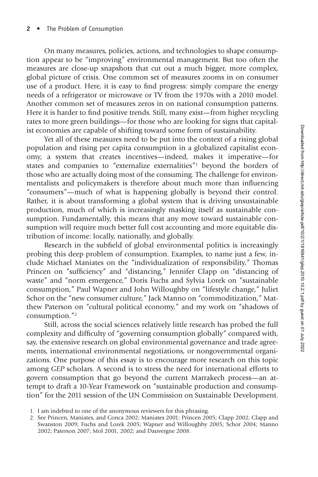On many measures, policies, actions, and technologies to shape consumption appear to be "improving" environmental management. But too often the measures are close-up snapshots that cut out a much bigger, more complex, global picture of crisis. One common set of measures zooms in on consumer use of a product. Here, it is easy to find progress: simply compare the energy needs of a refrigerator or microwave or TV from the 1970s with a 2010 model. Another common set of measures zeros in on national consumption patterns. Here it is harder to find positive trends. Still, many exist—from higher recycling rates to more green buildings—for those who are looking for signs that capitalist economies are capable of shifting toward some form of sustainability.

Yet all of these measures need to be put into the context of a rising global population and rising per capita consumption in a globalized capitalist economy, a system that creates incentives—indeed, makes it imperative—for states and companies to "externalize externalities"<sup>1</sup> beyond the borders of those who are actually doing most of the consuming. The challenge for environmentalists and policymakers is therefore about much more than influencing "consumers"—much of what is happening globally is beyond their control. Rather, it is about transforming a global system that is driving unsustainable production, much of which is increasingly masking itself as sustainable consumption. Fundamentally, this means that any move toward sustainable consumption will require much better full cost accounting and more equitable distribution of income: locally, nationally, and globally.

Research in the subfield of global environmental politics is increasingly probing this deep problem of consumption. Examples, to name just a few, include Michael Maniates on the "individualization of responsibility," Thomas Princen on "sufficiency" and "distancing," Jennifer Clapp on "distancing of waste" and "norm emergence," Doris Fuchs and Sylvia Lorek on "sustainable consumption," Paul Wapner and John Willoughby on "lifestyle change," Juliet Schor on the "new consumer culture," Jack Manno on "commoditization," Matthew Paterson on "cultural political economy," and my work on "shadows of consumption."2

Still, across the social sciences relatively little research has probed the full complexity and difficulty of "governing consumption globally" compared with, say, the extensive research on global environmental governance and trade agreements, international environmental negotiations, or nongovernmental organizations. One purpose of this essay is to encourage more research on this topic among *GEP* scholars. A second is to stress the need for international efforts to govern consumption that go beyond the current Marrakech process—an attempt to draft a 10-Year Framework on "sustainable production and consumption" for the 2011 session of the UN Commission on Sustainable Development.

<sup>1.</sup> I am indebted to one of the anonymous reviewers for this phrasing.

<sup>2.</sup> See Princen, Maniates, and Conca 2002; Maniates 2001; Princen 2005; Clapp 2002; Clapp and Swanston 2009; Fuchs and Lorek 2005; Wapner and Willoughby 2005; Schor 2004; Manno 2002; Paterson 2007; Mol 2001, 2002; and Dauvergne 2008.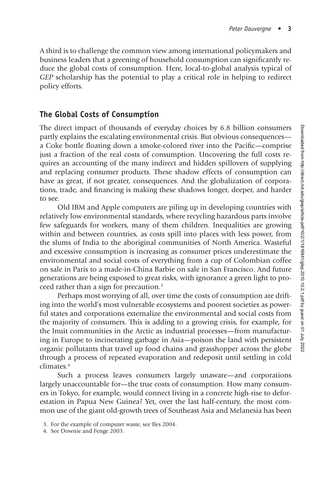A third is to challenge the common view among international policymakers and business leaders that a greening of household consumption can significantly reduce the global costs of consumption. Here, local-to-global analysis typical of *GEP* scholarship has the potential to play a critical role in helping to redirect policy efforts.

### **The Global Costs of Consumption**

The direct impact of thousands of everyday choices by 6.8 billion consumers partly explains the escalating environmental crisis. But obvious consequences a Coke bottle floating down a smoke-colored river into the Pacific—comprise just a fraction of the real costs of consumption. Uncovering the full costs requires an accounting of the many indirect and hidden spillovers of supplying and replacing consumer products. These shadow effects of consumption can have as great, if not greater, consequences. And the globalization of corporations, trade, and financing is making these shadows longer, deeper, and harder to see.

Old IBM and Apple computers are piling up in developing countries with relatively low environmental standards, where recycling hazardous parts involve few safeguards for workers, many of them children. Inequalities are growing within and between countries, as costs spill into places with less power, from the slums of India to the aboriginal communities of North America. Wasteful and excessive consumption is increasing as consumer prices underestimate the environmental and social costs of everything from a cup of Colombian coffee on sale in Paris to a made-in-China Barbie on sale in San Francisco. And future generations are being exposed to great risks, with ignorance a green light to proceed rather than a sign for precaution.3

Perhaps most worrying of all, over time the costs of consumption are drifting into the world's most vulnerable ecosystems and poorest societies as powerful states and corporations externalize the environmental and social costs from the majority of consumers. This is adding to a growing crisis, for example, for the Inuit communities in the Arctic as industrial processes—from manufacturing in Europe to incinerating garbage in Asia—poison the land with persistent organic pollutants that travel up food chains and grasshopper across the globe through a process of repeated evaporation and redeposit until settling in cold climates.4

Such a process leaves consumers largely unaware—and corporations largely unaccountable for—the true costs of consumption. How many consumers in Tokyo, for example, would connect living in a concrete high-rise to deforestation in Papua New Guinea? Yet, over the last half-century, the most common use of the giant old-growth trees of Southeast Asia and Melanesia has been

<sup>3.</sup> For the example of computer waste, see Iles 2004.

<sup>4.</sup> See Downie and Fenge 2003.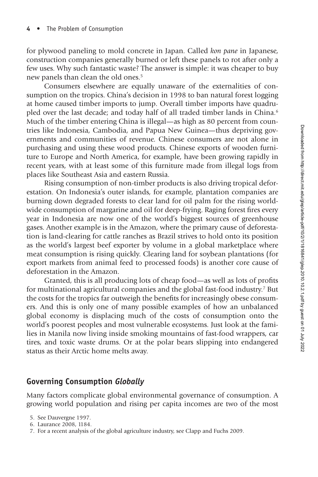for plywood paneling to mold concrete in Japan. Called *kon pane* in Japanese, construction companies generally burned or left these panels to rot after only a few uses. Why such fantastic waste? The answer is simple: it was cheaper to buy new panels than clean the old ones.<sup>5</sup>

Consumers elsewhere are equally unaware of the externalities of consumption on the tropics. China's decision in 1998 to ban natural forest logging at home caused timber imports to jump. Overall timber imports have quadrupled over the last decade; and today half of all traded timber lands in China.<sup>6</sup> Much of the timber entering China is illegal—as high as 80 percent from countries like Indonesia, Cambodia, and Papua New Guinea—thus depriving governments and communities of revenue. Chinese consumers are not alone in purchasing and using these wood products. Chinese exports of wooden furniture to Europe and North America, for example, have been growing rapidly in recent years, with at least some of this furniture made from illegal logs from places like Southeast Asia and eastern Russia.

Rising consumption of non-timber products is also driving tropical deforestation. On Indonesia's outer islands, for example, plantation companies are burning down degraded forests to clear land for oil palm for the rising worldwide consumption of margarine and oil for deep-frying. Raging forest fires every year in Indonesia are now one of the world's biggest sources of greenhouse gases. Another example is in the Amazon, where the primary cause of deforestation is land-clearing for cattle ranches as Brazil strives to hold onto its position as the world's largest beef exporter by volume in a global marketplace where meat consumption is rising quickly. Clearing land for soybean plantations (for export markets from animal feed to processed foods) is another core cause of deforestation in the Amazon.

Granted, this is all producing lots of cheap food—as well as lots of profits for multinational agricultural companies and the global fast-food industry.7 But the costs for the tropics far outweigh the benefits for increasingly obese consumers. And this is only one of many possible examples of how an unbalanced global economy is displacing much of the costs of consumption onto the world's poorest peoples and most vulnerable ecosystems. Just look at the families in Manila now living inside smoking mountains of fast-food wrappers, car tires, and toxic waste drums. Or at the polar bears slipping into endangered status as their Arctic home melts away.

#### **Governing Consumption** *Globally*

Many factors complicate global environmental governance of consumption. A growing world population and rising per capita incomes are two of the most

<sup>5.</sup> See Dauvergne 1997.

<sup>6.</sup> Laurance 2008, 1184.

<sup>7.</sup> For a recent analysis of the global agriculture industry, see Clapp and Fuchs 2009.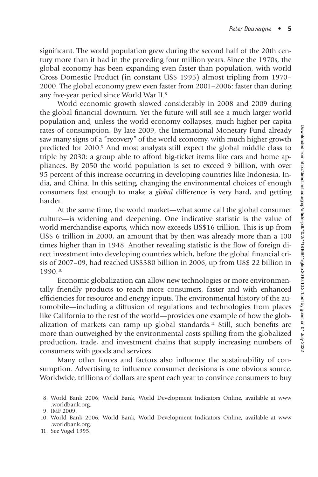significant. The world population grew during the second half of the 20th century more than it had in the preceding four million years. Since the 1970s, the global economy has been expanding even faster than population, with world Gross Domestic Product (in constant US\$ 1995) almost tripling from 1970– 2000. The global economy grew even faster from 2001–2006: faster than during any five-year period since World War II.<sup>8</sup>

World economic growth slowed considerably in 2008 and 2009 during the global financial downturn. Yet the future will still see a much larger world population and, unless the world economy collapses, much higher per capita rates of consumption. By late 2009, the International Monetary Fund already saw many signs of a "recovery" of the world economy, with much higher growth predicted for 2010.9 And most analysts still expect the global middle class to triple by 2030: a group able to afford big-ticket items like cars and home appliances. By 2050 the world population is set to exceed 9 billion, with over 95 percent of this increase occurring in developing countries like Indonesia, India, and China. In this setting, changing the environmental choices of enough consumers fast enough to make a *global* difference is very hard, and getting harder.

At the same time, the world market—what some call the global consumer culture—is widening and deepening. One indicative statistic is the value of world merchandise exports, which now exceeds US\$16 trillion. This is up from US\$ 6 trillion in 2000, an amount that by then was already more than a 100 times higher than in 1948. Another revealing statistic is the flow of foreign direct investment into developing countries which, before the global financial crisis of 2007–09, had reached US\$380 billion in 2006, up from US\$ 22 billion in 1990.10

Economic globalization can allow new technologies or more environmentally friendly products to reach more consumers, faster and with enhanced efficiencies for resource and energy inputs. The environmental history of the automobile—including a diffusion of regulations and technologies from places like California to the rest of the world—provides one example of how the globalization of markets can ramp up global standards.<sup>11</sup> Still, such benefits are more than outweighed by the environmental costs spilling from the globalized production, trade, and investment chains that supply increasing numbers of consumers with goods and services.

Many other forces and factors also influence the sustainability of consumption. Advertising to influence consumer decisions is one obvious source. Worldwide, trillions of dollars are spent each year to convince consumers to buy

- 10. World Bank 2006; World Bank, World Development Indicators Online, available at www .worldbank.org.
- 11. See Vogel 1995.

<sup>8.</sup> World Bank 2006; World Bank, World Development Indicators Online, available at www .worldbank.org.

<sup>9.</sup> IMF 2009.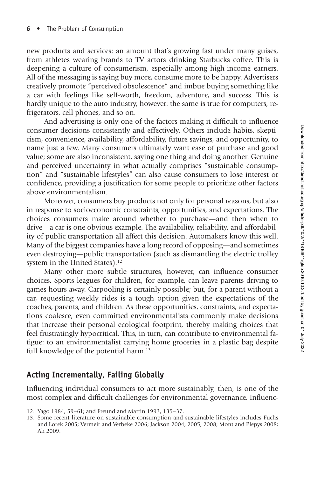new products and services: an amount that's growing fast under many guises, from athletes wearing brands to TV actors drinking Starbucks coffee. This is deepening a culture of consumerism, especially among high-income earners. All of the messaging is saying buy more, consume more to be happy. Advertisers creatively promote "perceived obsolescence" and imbue buying something like a car with feelings like self-worth, freedom, adventure, and success. This is hardly unique to the auto industry, however: the same is true for computers, refrigerators, cell phones, and so on.

And advertising is only one of the factors making it difficult to influence consumer decisions consistently and effectively. Others include habits, skepticism, convenience, availability, affordability, future savings, and opportunity, to name just a few. Many consumers ultimately want ease of purchase and good value; some are also inconsistent, saying one thing and doing another. Genuine and perceived uncertainty in what actually comprises "sustainable consumption" and "sustainable lifestyles" can also cause consumers to lose interest or confidence, providing a justification for some people to prioritize other factors above environmentalism.

Moreover, consumers buy products not only for personal reasons, but also in response to socioeconomic constraints, opportunities, and expectations. The choices consumers make around whether to purchase—and then when to drive—a car is one obvious example. The availability, reliability, and affordability of public transportation all affect this decision. Automakers know this well. Many of the biggest companies have a long record of opposing—and sometimes even destroying—public transportation (such as dismantling the electric trolley system in the United States).<sup>12</sup>

Many other more subtle structures, however, can influence consumer choices. Sports leagues for children, for example, can leave parents driving to games hours away. Carpooling is certainly possible; but, for a parent without a car, requesting weekly rides is a tough option given the expectations of the coaches, parents, and children. As these opportunities, constraints, and expectations coalesce, even committed environmentalists commonly make decisions that increase their personal ecological footprint, thereby making choices that feel frustratingly hypocritical. This, in turn, can contribute to environmental fatigue: to an environmentalist carrying home groceries in a plastic bag despite full knowledge of the potential harm.<sup>13</sup>

#### **Acting Incrementally, Failing Globally**

Influencing individual consumers to act more sustainably, then, is one of the most complex and difficult challenges for environmental governance. Influenc-

12. Yago 1984, 59–61; and Freund and Martin 1993, 135–37.

<sup>13.</sup> Some recent literature on sustainable consumption and sustainable lifestyles includes Fuchs and Lorek 2005; Vermeir and Verbeke 2006; Jackson 2004, 2005, 2008; Mont and Plepys 2008; Ali 2009.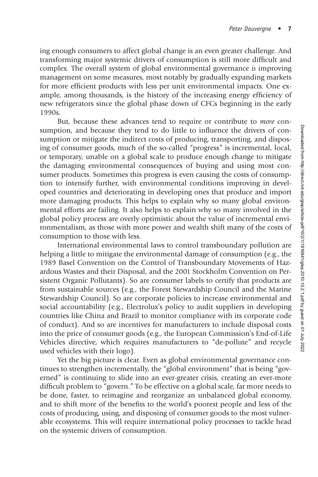ing enough consumers to affect global change is an even greater challenge. And transforming major systemic drivers of consumption is still more difficult and complex. The overall system of global environmental governance *is* improving management on some measures, most notably by gradually expanding markets for more efficient products with less per unit environmental impacts. One example, among thousands, is the history of the increasing energy efficiency of new refrigerators since the global phase down of CFCs beginning in the early 1990s.

But, because these advances tend to require or contribute to *more* consumption, and because they tend to do little to influence the drivers of consumption or mitigate the indirect costs of producing, transporting, and disposing of consumer goods, much of the so-called "progress" is incremental, local, or temporary, unable on a global scale to produce enough change to mitigate the damaging environmental consequences of buying and using most consumer products. Sometimes this progress is even causing the costs of consumption to intensify further, with environmental conditions improving in developed countries and deteriorating in developing ones that produce and import more damaging products. This helps to explain why so many global environmental efforts are failing. It also helps to explain why so many involved in the global policy process are overly optimistic about the value of incremental environmentalism, as those with more power and wealth shift many of the costs of consumption to those with less.

International environmental laws to control transboundary pollution are helping a little to mitigate the environmental damage of consumption (e.g., the 1989 Basel Convention on the Control of Transboundary Movements of Hazardous Wastes and their Disposal, and the 2001 Stockholm Convention on Persistent Organic Pollutants). So are consumer labels to certify that products are from sustainable sources (e.g., the Forest Stewardship Council and the Marine Stewardship Council). So are corporate policies to increase environmental and social accountability (e.g., Electrolux's policy to audit suppliers in developing countries like China and Brazil to monitor compliance with its corporate code of conduct). And so are incentives for manufacturers to include disposal costs into the price of consumer goods (e.g., the European Commission's End-of-Life Vehicles directive, which requires manufacturers to "de-pollute" and recycle used vehicles with their logo).

Yet the big picture is clear. Even as global environmental governance continues to strengthen incrementally, the "global environment" that is being "governed" is continuing to slide into an ever-greater crisis, creating an ever-more difficult problem to "govern." To be effective on a global scale, far more needs to be done, faster, to reimagine and reorganize an unbalanced global economy, and to shift more of the benefits to the world's poorest people and less of the costs of producing, using, and disposing of consumer goods to the most vulnerable ecosystems. This will require international policy processes to tackle head on the systemic drivers of consumption.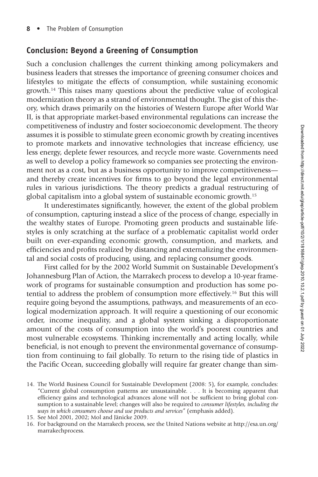## **Conclusion: Beyond a Greening of Consumption**

Such a conclusion challenges the current thinking among policymakers and business leaders that stresses the importance of greening consumer choices and lifestyles to mitigate the effects of consumption, while sustaining economic growth.14 This raises many questions about the predictive value of ecological modernization theory as a strand of environmental thought. The gist of this theory, which draws primarily on the histories of Western Europe after World War II, is that appropriate market-based environmental regulations can increase the competitiveness of industry and foster socioeconomic development. The theory assumes it is possible to stimulate green economic growth by creating incentives to promote markets and innovative technologies that increase efficiency, use less energy, deplete fewer resources, and recycle more waste. Governments need as well to develop a policy framework so companies see protecting the environment not as a cost, but as a business opportunity to improve competitiveness and thereby create incentives for firms to go beyond the legal environmental rules in various jurisdictions. The theory predicts a gradual restructuring of global capitalism into a global system of sustainable economic growth.15

It underestimates significantly, however, the extent of the global problem of consumption, capturing instead a slice of the process of change, especially in the wealthy states of Europe. Promoting green products and sustainable lifestyles is only scratching at the surface of a problematic capitalist world order built on ever-expanding economic growth, consumption, and markets, and efficiencies and profits realized by distancing and externalizing the environmental and social costs of producing, using, and replacing consumer goods.

First called for by the 2002 World Summit on Sustainable Development's Johannesburg Plan of Action, the Marrakech process to develop a 10-year framework of programs for sustainable consumption and production has some potential to address the problem of consumption more effectively.16 But this will require going beyond the assumptions, pathways, and measurements of an ecological modernization approach. It will require a questioning of our economic order, income inequality, and a global system sinking a disproportionate amount of the costs of consumption into the world's poorest countries and most vulnerable ecosystems. Thinking incrementally and acting locally, while beneficial, is not enough to prevent the environmental governance of consumption from continuing to fail globally. To return to the rising tide of plastics in the Pacific Ocean, succeeding globally will require far greater change than sim-

15. See Mol 2001, 2002; Mol and Jänicke 2009.

<sup>14.</sup> The World Business Council for Sustainable Development (2008: 5), for example, concludes: "Current global consumption patterns are unsustainable. . . . It is becoming apparent that efficiency gains and technological advances alone will not be sufficient to bring global consumption to a sustainable level; changes will also be required to *consumer lifestyles, including the ways in which consumers choose and use products and services*" (emphasis added).

<sup>16.</sup> For background on the Marrakech process, see the United Nations website at http://esa.un.org/ marrakechprocess.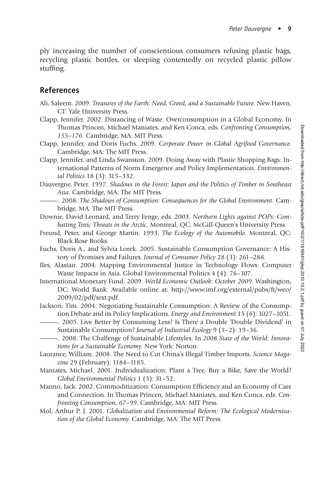ply increasing the number of conscientious consumers refusing plastic bags, recycling plastic bottles, or sleeping contentedly on recycled plastic pillow stuffing.

### **References**

- Ali, Saleem. 2009. *Treasures of the Earth: Need, Greed, and a Sustainable Future.* New Haven, CT: Yale University Press.
- Clapp, Jennifer. 2002. Distancing of Waste: Overconsumption in a Global Economy. In Thomas Princen, Michael Maniates, and Ken Conca, eds. *Confronting Consumption, 155–176.* Cambridge, MA: MIT Press.
- Clapp, Jennifer, and Doris Fuchs. 2009. *Corporate Power in Global Agrifood Governance.* Cambridge, MA: The MIT Press.
- Clapp, Jennifer, and Linda Swanston. 2009. Doing Away with Plastic Shopping Bags: International Patterns of Norm Emergence and Policy Implementation. *Environmental Politics* 18 (3): 315–332.
- Dauvergne, Peter. 1997. *Shadows in the Forest: Japan and the Politics of Timber in Southeast Asia.* Cambridge, MA: The MIT Press.
- ———. 2008. *The Shadows of Consumption: Consequences for the Global Environment.* Cambridge, MA: The MIT Press.
- Downie, David Leonard, and Terry Fenge, eds. 2003. *Northern Lights against POPs: Combatting Toxic Threats in the Arctic.* Montreal, QC: McGill-Queen's University Press.
- Freund, Peter, and George Martin. 1993. *The Ecology of the Automobile.* Montreal, QC: Black Rose Books.
- Fuchs, Doris A., and Sylvia Lorek. 2005. Sustainable Consumption Governance: A History of Promises and Failures. *Journal of Consumer Policy* 28 (3): 261–288.
- Iles, Alastair. 2004. Mapping Environmental Justice in Technology Flows: Computer Waste Impacts in Asia. Global Environmental Politics 4 (4): 76–107.
- International Monetary Fund. 2009. *World Economic Outlook: October 2009.* Washington, DC: World Bank. Available online at: http://www.imf.org/external/pubs/ft/weo/ 2009/02/pdf/text.pdf.
- Jackson, Tim. 2004. Negotiating Sustainable Consumption: A Review of the Consumption Debate and its Policy Implications. *Energy and Environment* 15 (6): 1027–1051.
- ———. 2005. Live Better by Consuming Less? Is There a Double 'Double Dividend' in Sustainable Consumption? *Journal of Industrial Ecology* 9 (1–2): 19–36.
- ———. 2008. The Challenge of Sustainable Lifestyles. In *2008 State of the World: Innovations for a Sustainable Economy.* New York: Norton.
- Laurance, William. 2008. The Need to Cut China's Illegal Timber Imports. *Science Magazine* 29 (February): 1184–1185.
- Maniates, Michael. 2001. Individualization: Plant a Tree, Buy a Bike, Save the World? *Global Environmental Politics* 1 (3): 31–52.
- Manno, Jack. 2002. Commoditization: Consumption Efficiency and an Economy of Care and Connection. In Thomas Princen, Michael Maniates, and Ken Conca, eds. *Confronting Consumption, 67–99.* Cambridge, MA: MIT Press.
- Mol, Arthur P. J. 2001. *Globalization and Environmental Reform: The Ecological Modernization of the Global Economy.* Cambridge, MA: The MIT Press.